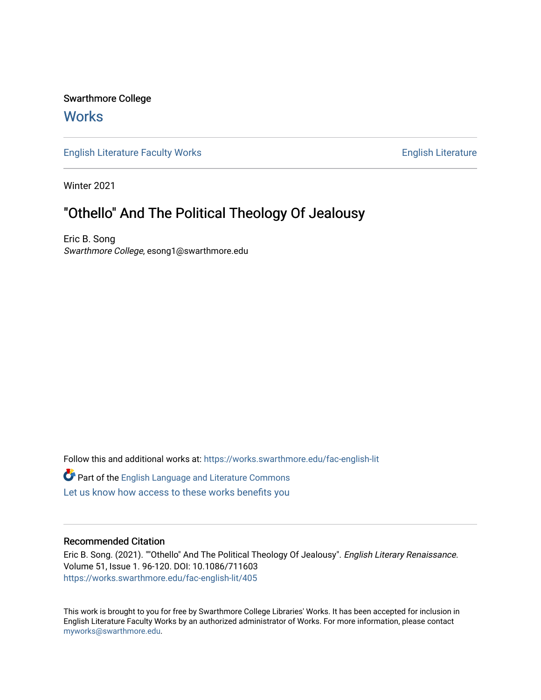# Swarthmore College

## **Works**

[English Literature Faculty Works](https://works.swarthmore.edu/fac-english-lit) **English Literature** English Literature

Winter 2021

# "Othello" And The Political Theology Of Jealousy

Eric B. Song Swarthmore College, esong1@swarthmore.edu

Follow this and additional works at: [https://works.swarthmore.edu/fac-english-lit](https://works.swarthmore.edu/fac-english-lit?utm_source=works.swarthmore.edu%2Ffac-english-lit%2F405&utm_medium=PDF&utm_campaign=PDFCoverPages) **C** Part of the [English Language and Literature Commons](http://network.bepress.com/hgg/discipline/455?utm_source=works.swarthmore.edu%2Ffac-english-lit%2F405&utm_medium=PDF&utm_campaign=PDFCoverPages) [Let us know how access to these works benefits you](https://forms.gle/4MB8mE2GywC5965J8) 

#### Recommended Citation

Eric B. Song. (2021). ""Othello" And The Political Theology Of Jealousy". English Literary Renaissance. Volume 51, Issue 1. 96-120. DOI: 10.1086/711603 <https://works.swarthmore.edu/fac-english-lit/405>

This work is brought to you for free by Swarthmore College Libraries' Works. It has been accepted for inclusion in English Literature Faculty Works by an authorized administrator of Works. For more information, please contact [myworks@swarthmore.edu.](mailto:myworks@swarthmore.edu)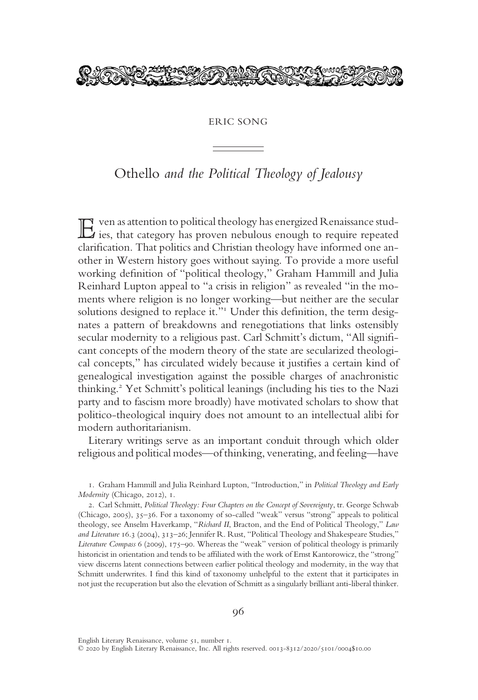

ERIC SONG

### Othello and the Political Theology of Jealousy

Even as attention to political theology has energized Renaissance stud- $\dot{J}$  ies, that category has proven nebulous enough to require repeated clarification. That politics and Christian theology have informed one another in Western history goes without saying. To provide a more useful working definition of "political theology," Graham Hammill and Julia Reinhard Lupton appeal to "a crisis in religion" as revealed "in the moments where religion is no longer working—but neither are the secular solutions designed to replace it."<sup>1</sup> Under this definition, the term designates a pattern of breakdowns and renegotiations that links ostensibly secular modernity to a religious past. Carl Schmitt's dictum, "All significant concepts of the modern theory of the state are secularized theological concepts," has circulated widely because it justifies a certain kind of genealogical investigation against the possible charges of anachronistic thinking.<sup>2</sup> Yet Schmitt's political leanings (including his ties to the Nazi party and to fascism more broadly) have motivated scholars to show that politico-theological inquiry does not amount to an intellectual alibi for modern authoritarianism.

Literary writings serve as an important conduit through which older religious and political modes—of thinking, venerating, and feeling—have

1. Graham Hammill and Julia Reinhard Lupton, "Introduction," in Political Theology and Early Modernity (Chicago, 2012), I.

2. Carl Schmitt, Political Theology: Four Chapters on the Concept of Sovereignty, tr. George Schwab (Chicago, 2005), 35–36. For a taxonomy of so-called "weak" versus "strong" appeals to political theology, see Anselm Haverkamp, "Richard II, Bracton, and the End of Political Theology," Law and Literature 16.3 (2004), 313–26; Jennifer R. Rust, "Political Theology and Shakespeare Studies," Literature Compass 6 (2009), 175–90. Whereas the "weak" version of political theology is primarily historicist in orientation and tends to be affiliated with the work of Ernst Kantorowicz, the "strong" view discerns latent connections between earlier political theology and modernity, in the way that Schmitt underwrites. I find this kind of taxonomy unhelpful to the extent that it participates in not just the recuperation but also the elevation of Schmitt as a singularly brilliant anti-liberal thinker.

96

English Literary Renaissance, volume 51, number 1.

© 2020 by English Literary Renaissance, Inc. All rights reserved. 0013-8312/2020/5101/0004\$10.00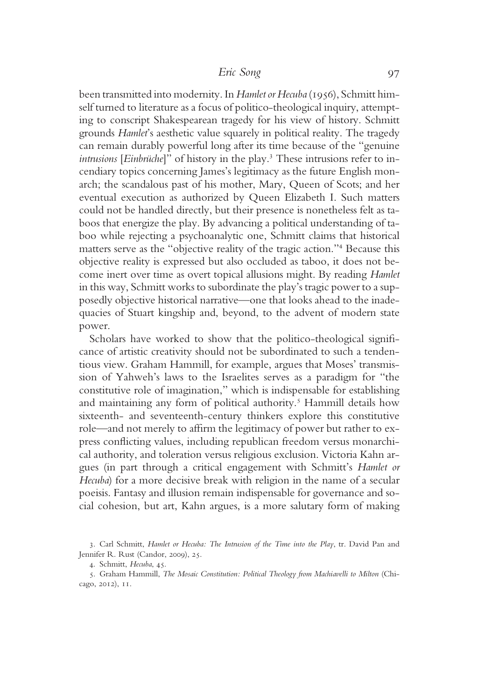been transmitted into modernity. In Hamlet or Hecuba(1956), Schmitt himself turned to literature as a focus of politico-theological inquiry, attempting to conscript Shakespearean tragedy for his view of history. Schmitt grounds Hamlet's aesthetic value squarely in political reality. The tragedy can remain durably powerful long after its time because of the "genuine intrusions [Einbrüche]" of history in the play.<sup>3</sup> These intrusions refer to incendiary topics concerning James's legitimacy as the future English monarch; the scandalous past of his mother, Mary, Queen of Scots; and her eventual execution as authorized by Queen Elizabeth I. Such matters could not be handled directly, but their presence is nonetheless felt as taboos that energize the play. By advancing a political understanding of taboo while rejecting a psychoanalytic one, Schmitt claims that historical matters serve as the "objective reality of the tragic action."<sup>4</sup> Because this objective reality is expressed but also occluded as taboo, it does not become inert over time as overt topical allusions might. By reading Hamlet in this way, Schmitt works to subordinate the play's tragic power to a supposedly objective historical narrative—one that looks ahead to the inadequacies of Stuart kingship and, beyond, to the advent of modern state power.

Scholars have worked to show that the politico-theological significance of artistic creativity should not be subordinated to such a tendentious view. Graham Hammill, for example, argues that Moses' transmission of Yahweh's laws to the Israelites serves as a paradigm for "the constitutive role of imagination," which is indispensable for establishing and maintaining any form of political authority.<sup>5</sup> Hammill details how sixteenth- and seventeenth-century thinkers explore this constitutive role—and not merely to affirm the legitimacy of power but rather to express conflicting values, including republican freedom versus monarchical authority, and toleration versus religious exclusion. Victoria Kahn argues (in part through a critical engagement with Schmitt's Hamlet or Hecuba) for a more decisive break with religion in the name of a secular poeisis. Fantasy and illusion remain indispensable for governance and social cohesion, but art, Kahn argues, is a more salutary form of making

<sup>3</sup>. Carl Schmitt, Hamlet or Hecuba: The Intrusion of the Time into the Play, tr. David Pan and Jennifer R. Rust (Candor, 2009), 25.

<sup>4</sup>. Schmitt, Hecuba, 45.

<sup>5</sup>. Graham Hammill, The Mosaic Constitution: Political Theology from Machiavelli to Milton (Chicago, 2012), 11.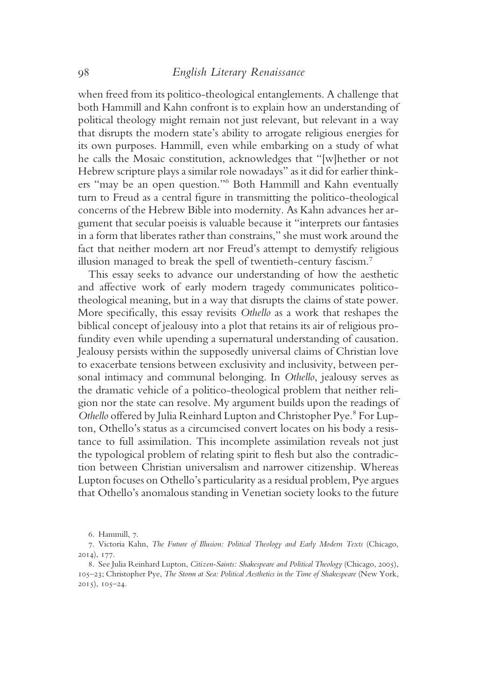when freed from its politico-theological entanglements. A challenge that both Hammill and Kahn confront is to explain how an understanding of political theology might remain not just relevant, but relevant in a way that disrupts the modern state's ability to arrogate religious energies for its own purposes. Hammill, even while embarking on a study of what he calls the Mosaic constitution, acknowledges that "[w]hether or not Hebrew scripture plays a similar role nowadays" as it did for earlier thinkers "may be an open question."<sup>6</sup> Both Hammill and Kahn eventually turn to Freud as a central figure in transmitting the politico-theological concerns of the Hebrew Bible into modernity. As Kahn advances her argument that secular poeisis is valuable because it "interprets our fantasies in a form that liberates rather than constrains," she must work around the fact that neither modern art nor Freud's attempt to demystify religious illusion managed to break the spell of twentieth-century fascism.<sup>7</sup>

This essay seeks to advance our understanding of how the aesthetic and affective work of early modern tragedy communicates politicotheological meaning, but in a way that disrupts the claims of state power. More specifically, this essay revisits Othello as a work that reshapes the biblical concept of jealousy into a plot that retains its air of religious profundity even while upending a supernatural understanding of causation. Jealousy persists within the supposedly universal claims of Christian love to exacerbate tensions between exclusivity and inclusivity, between personal intimacy and communal belonging. In Othello, jealousy serves as the dramatic vehicle of a politico-theological problem that neither religion nor the state can resolve. My argument builds upon the readings of Othello offered by Julia Reinhard Lupton and Christopher Pye.<sup>8</sup> For Lupton, Othello's status as a circumcised convert locates on his body a resistance to full assimilation. This incomplete assimilation reveals not just the typological problem of relating spirit to flesh but also the contradiction between Christian universalism and narrower citizenship. Whereas Lupton focuses on Othello's particularity as a residual problem, Pye argues that Othello's anomalous standing in Venetian society looks to the future

<sup>6</sup>. Hammill, 7.

<sup>7</sup>. Victoria Kahn, The Future of Illusion: Political Theology and Early Modern Texts (Chicago, 2014), 177.

<sup>8</sup>. See Julia Reinhard Lupton, Citizen-Saints: Shakespeare and Political Theology (Chicago, 2005), 105–23; Christopher Pye, The Storm at Sea: Political Aesthetics in the Time of Shakespeare (New York, 2015), 105–24.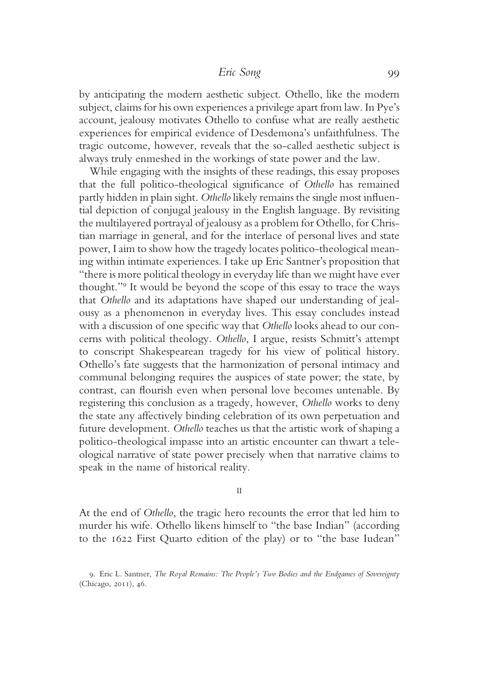by anticipating the modern aesthetic subject. Othello, like the modern subject, claims for his own experiences a privilege apart from law. In Pye's account, jealousy motivates Othello to confuse what are really aesthetic experiences for empirical evidence of Desdemona's unfaithfulness. The tragic outcome, however, reveals that the so-called aesthetic subject is always truly enmeshed in the workings of state power and the law.

While engaging with the insights of these readings, this essay proposes that the full politico-theological significance of Othello has remained partly hidden in plain sight. Othello likely remains the single most influential depiction of conjugal jealousy in the English language. By revisiting the multilayered portrayal of jealousy as a problem for Othello, for Christian marriage in general, and for the interlace of personal lives and state power, I aim to show how the tragedy locates politico-theological meaning within intimate experiences. I take up Eric Santner's proposition that "there is more political theology in everyday life than we might have ever thought."<sup>9</sup> It would be beyond the scope of this essay to trace the ways that Othello and its adaptations have shaped our understanding of jealousy as a phenomenon in everyday lives. This essay concludes instead with a discussion of one specific way that Othello looks ahead to our concerns with political theology. Othello, I argue, resists Schmitt's attempt to conscript Shakespearean tragedy for his view of political history. Othello's fate suggests that the harmonization of personal intimacy and communal belonging requires the auspices of state power; the state, by contrast, can flourish even when personal love becomes untenable. By registering this conclusion as a tragedy, however, Othello works to deny the state any affectively binding celebration of its own perpetuation and future development. Othello teaches us that the artistic work of shaping a politico-theological impasse into an artistic encounter can thwart a teleological narrative of state power precisely when that narrative claims to speak in the name of historical reality.

II

At the end of Othello, the tragic hero recounts the error that led him to murder his wife. Othello likens himself to "the base Indian" (according to the 1622 First Quarto edition of the play) or to "the base Iudean"

<sup>9</sup>. Eric L. Santner, The Royal Remains: The People's Two Bodies and the Endgames of Sovereignty (Chicago, 2011), 46.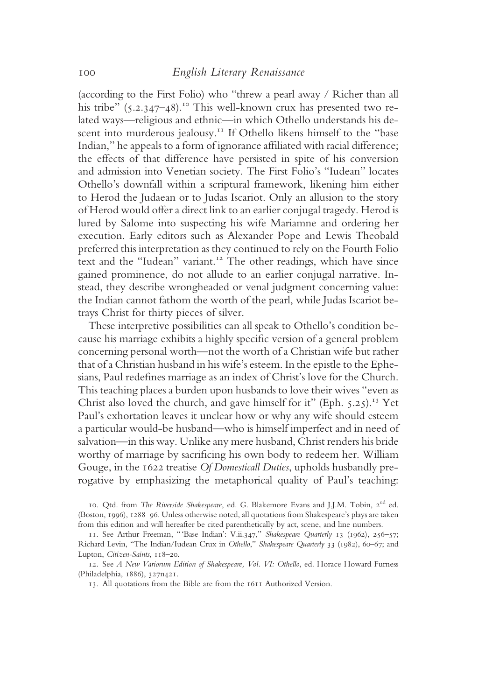(according to the First Folio) who "threw a pearl away / Richer than all his tribe"  $(5.2.347-48)$ .<sup>10</sup> This well-known crux has presented two related ways—religious and ethnic—in which Othello understands his descent into murderous jealousy.<sup>11</sup> If Othello likens himself to the "base Indian," he appeals to a form of ignorance affiliated with racial difference; the effects of that difference have persisted in spite of his conversion and admission into Venetian society. The First Folio's "Iudean" locates Othello's downfall within a scriptural framework, likening him either to Herod the Judaean or to Judas Iscariot. Only an allusion to the story of Herod would offer a direct link to an earlier conjugal tragedy. Herod is lured by Salome into suspecting his wife Mariamne and ordering her execution. Early editors such as Alexander Pope and Lewis Theobald preferred this interpretation as they continued to rely on the Fourth Folio text and the "Iudean" variant.<sup>12</sup> The other readings, which have since gained prominence, do not allude to an earlier conjugal narrative. Instead, they describe wrongheaded or venal judgment concerning value: the Indian cannot fathom the worth of the pearl, while Judas Iscariot betrays Christ for thirty pieces of silver.

These interpretive possibilities can all speak to Othello's condition because his marriage exhibits a highly specific version of a general problem concerning personal worth—not the worth of a Christian wife but rather that of a Christian husband in his wife's esteem. In the epistle to the Ephesians, Paul redefines marriage as an index of Christ's love for the Church. This teaching places a burden upon husbands to love their wives "even as Christ also loved the church, and gave himself for it" (Eph.  $5.25$ ).<sup>13</sup> Yet Paul's exhortation leaves it unclear how or why any wife should esteem a particular would-be husband—who is himself imperfect and in need of salvation—in this way. Unlike any mere husband, Christ renders his bride worthy of marriage by sacrificing his own body to redeem her. William Gouge, in the 1622 treatise Of Domesticall Duties, upholds husbandly prerogative by emphasizing the metaphorical quality of Paul's teaching:

10. Qtd. from The Riverside Shakespeare, ed. G. Blakemore Evans and J.J.M. Tobin, 2<sup>nd</sup> ed. (Boston, 1996), 1288–96. Unless otherwise noted, all quotations from Shakespeare's plays are taken from this edition and will hereafter be cited parenthetically by act, scene, and line numbers.

11. See Arthur Freeman, "'Base Indian': V.ii.347," Shakespeare Quarterly 13 (1962), 256–57; Richard Levin, "The Indian/Iudean Crux in Othello," Shakespeare Quarterly 33 (1982), 60–67; and Lupton, Citizen-Saints, 118–20.

12. See A New Variorum Edition of Shakespeare, Vol. VI: Othello, ed. Horace Howard Furness (Philadelphia, 1886), 327n421.

13. All quotations from the Bible are from the 1611 Authorized Version.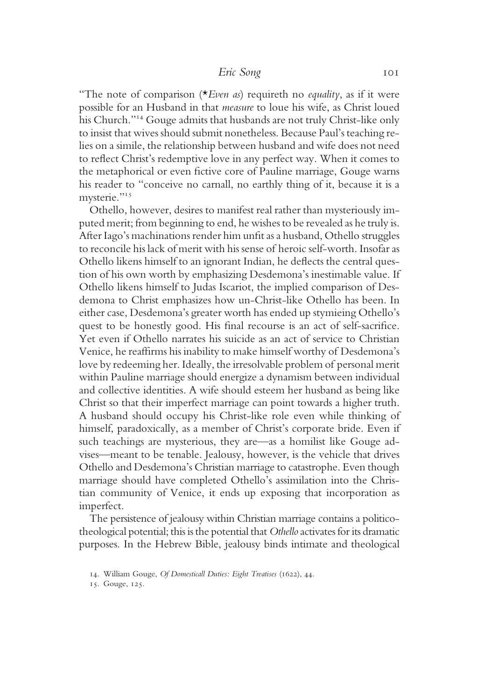"The note of comparison ( $Even$  as) requireth no *equality*, as if it were possible for an Husband in that measure to loue his wife, as Christ loued his Church."<sup>14</sup> Gouge admits that husbands are not truly Christ-like only to insist that wives should submit nonetheless. Because Paul's teaching relies on a simile, the relationship between husband and wife does not need to reflect Christ's redemptive love in any perfect way. When it comes to the metaphorical or even fictive core of Pauline marriage, Gouge warns his reader to "conceive no carnall, no earthly thing of it, because it is a mysterie."<sup>15</sup>

Othello, however, desires to manifest real rather than mysteriously imputed merit; from beginning to end, he wishes to be revealed as he truly is. After Iago's machinations render him unfit as a husband, Othello struggles to reconcile his lack of merit with his sense of heroic self-worth. Insofar as Othello likens himself to an ignorant Indian, he deflects the central question of his own worth by emphasizing Desdemona's inestimable value. If Othello likens himself to Judas Iscariot, the implied comparison of Desdemona to Christ emphasizes how un-Christ-like Othello has been. In either case, Desdemona's greater worth has ended up stymieing Othello's quest to be honestly good. His final recourse is an act of self-sacrifice. Yet even if Othello narrates his suicide as an act of service to Christian Venice, he reaffirms his inability to make himself worthy of Desdemona's love by redeeming her. Ideally, the irresolvable problem of personal merit within Pauline marriage should energize a dynamism between individual and collective identities. A wife should esteem her husband as being like Christ so that their imperfect marriage can point towards a higher truth. A husband should occupy his Christ-like role even while thinking of himself, paradoxically, as a member of Christ's corporate bride. Even if such teachings are mysterious, they are—as a homilist like Gouge advises—meant to be tenable. Jealousy, however, is the vehicle that drives Othello and Desdemona's Christian marriage to catastrophe. Even though marriage should have completed Othello's assimilation into the Christian community of Venice, it ends up exposing that incorporation as imperfect.

The persistence of jealousy within Christian marriage contains a politicotheological potential; this is the potential that Othello activates for its dramatic purposes. In the Hebrew Bible, jealousy binds intimate and theological

<sup>14</sup>. William Gouge, Of Domesticall Duties: Eight Treatises (1622), 44.

<sup>15</sup>. Gouge, 125.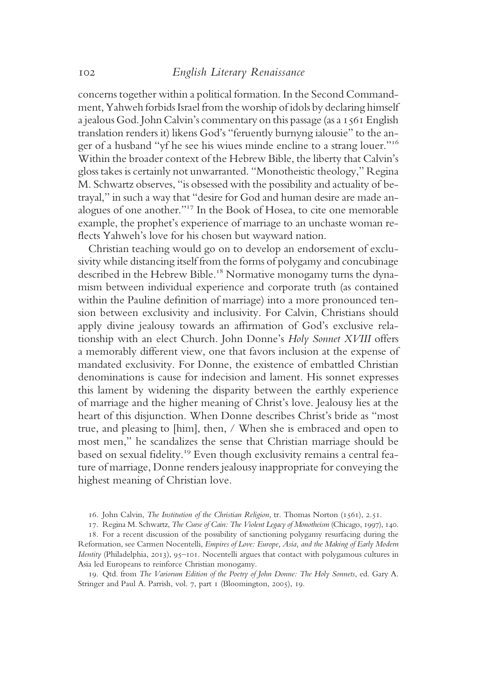concerns together within a political formation. In the Second Commandment, Yahweh forbids Israel from the worship of idols by declaring himself a jealous God. John Calvin's commentary on this passage (as a 1561 English translation renders it) likens God's "feruently burnyng ialousie" to the anger of a husband "yf he see his wiues minde encline to a strang louer."<sup>16</sup> Within the broader context of the Hebrew Bible, the liberty that Calvin's gloss takes is certainly not unwarranted. "Monotheistic theology," Regina M. Schwartz observes, "is obsessed with the possibility and actuality of betrayal," in such a way that "desire for God and human desire are made analogues of one another."<sup>17</sup> In the Book of Hosea, to cite one memorable example, the prophet's experience of marriage to an unchaste woman reflects Yahweh's love for his chosen but wayward nation.

Christian teaching would go on to develop an endorsement of exclusivity while distancing itself from the forms of polygamy and concubinage described in the Hebrew Bible.<sup>18</sup> Normative monogamy turns the dynamism between individual experience and corporate truth (as contained within the Pauline definition of marriage) into a more pronounced tension between exclusivity and inclusivity. For Calvin, Christians should apply divine jealousy towards an affirmation of God's exclusive relationship with an elect Church. John Donne's Holy Sonnet XVIII offers a memorably different view, one that favors inclusion at the expense of mandated exclusivity. For Donne, the existence of embattled Christian denominations is cause for indecision and lament. His sonnet expresses this lament by widening the disparity between the earthly experience of marriage and the higher meaning of Christ's love. Jealousy lies at the heart of this disjunction. When Donne describes Christ's bride as "most true, and pleasing to [him], then, / When she is embraced and open to most men," he scandalizes the sense that Christian marriage should be based on sexual fidelity.<sup>19</sup> Even though exclusivity remains a central feature of marriage, Donne renders jealousy inappropriate for conveying the highest meaning of Christian love.

19. Qtd. from The Variorum Edition of the Poetry of John Donne: The Holy Sonnets, ed. Gary A. Stringer and Paul A. Parrish, vol. 7, part 1 (Bloomington, 2005), 19.

<sup>16</sup>. John Calvin, The Institution of the Christian Religion, tr. Thomas Norton (1561), 2.51.

<sup>17</sup>. Regina M. Schwartz, The Curse of Cain: The Violent Legacy of Monotheism (Chicago, 1997), 140.

<sup>18</sup>. For a recent discussion of the possibility of sanctioning polygamy resurfacing during the Reformation, see Carmen Nocentelli, Empires of Love: Europe, Asia, and the Making of Early Modern Identity (Philadelphia, 2013), 95–101. Nocentelli argues that contact with polygamous cultures in Asia led Europeans to reinforce Christian monogamy.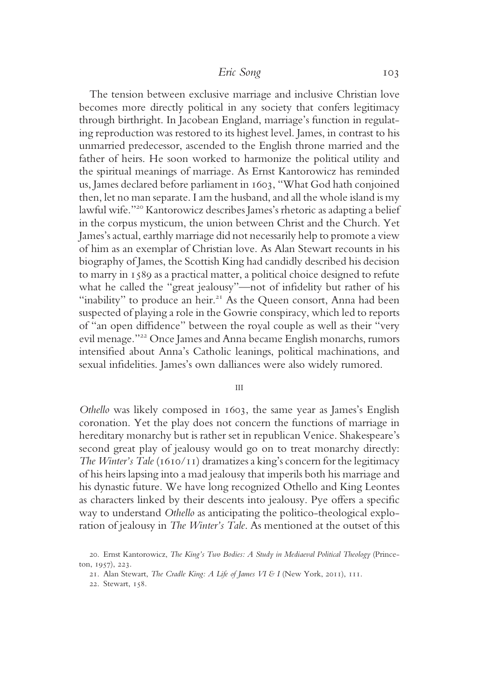The tension between exclusive marriage and inclusive Christian love becomes more directly political in any society that confers legitimacy through birthright. In Jacobean England, marriage's function in regulating reproduction was restored to its highest level. James, in contrast to his unmarried predecessor, ascended to the English throne married and the father of heirs. He soon worked to harmonize the political utility and the spiritual meanings of marriage. As Ernst Kantorowicz has reminded us, James declared before parliament in 1603, "What God hath conjoined then, let no man separate. I am the husband, and all the whole island is my lawful wife."<sup>20</sup> Kantorowicz describes James's rhetoric as adapting a belief in the corpus mysticum, the union between Christ and the Church. Yet James's actual, earthly marriage did not necessarily help to promote a view of him as an exemplar of Christian love. As Alan Stewart recounts in his biography of James, the Scottish King had candidly described his decision to marry in 1589 as a practical matter, a political choice designed to refute what he called the "great jealousy"—not of infidelity but rather of his "inability" to produce an heir.<sup>21</sup> As the Queen consort, Anna had been suspected of playing a role in the Gowrie conspiracy, which led to reports of "an open diffidence" between the royal couple as well as their "very evil menage."<sup>22</sup> Once James and Anna became English monarchs, rumors intensified about Anna's Catholic leanings, political machinations, and sexual infidelities. James's own dalliances were also widely rumored.

III

Othello was likely composed in 1603, the same year as James's English coronation. Yet the play does not concern the functions of marriage in hereditary monarchy but is rather set in republican Venice. Shakespeare's second great play of jealousy would go on to treat monarchy directly: The Winter's Tale (1610/11) dramatizes a king's concern for the legitimacy of his heirs lapsing into a mad jealousy that imperils both his marriage and his dynastic future. We have long recognized Othello and King Leontes as characters linked by their descents into jealousy. Pye offers a specific way to understand Othello as anticipating the politico-theological exploration of jealousy in The Winter's Tale. As mentioned at the outset of this

21. Alan Stewart, The Cradle King: A Life of James VI & I (New York, 2011), 111.

<sup>20</sup>. Ernst Kantorowicz, The King's Two Bodies: A Study in Mediaeval Political Theology (Princeton, 1957), 223.

<sup>22</sup>. Stewart, 158.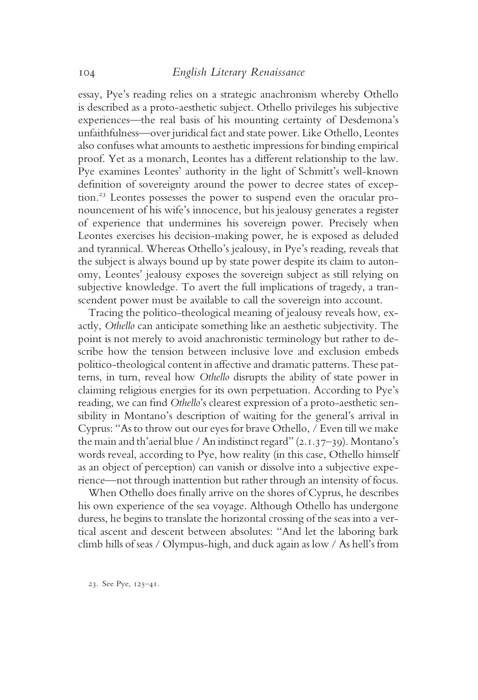essay, Pye's reading relies on a strategic anachronism whereby Othello is described as a proto-aesthetic subject. Othello privileges his subjective experiences—the real basis of his mounting certainty of Desdemona's unfaithfulness—over juridical fact and state power. Like Othello, Leontes also confuses what amounts to aesthetic impressions for binding empirical proof. Yet as a monarch, Leontes has a different relationship to the law. Pye examines Leontes' authority in the light of Schmitt's well-known definition of sovereignty around the power to decree states of exception.<sup>23</sup> Leontes possesses the power to suspend even the oracular pronouncement of his wife's innocence, but his jealousy generates a register of experience that undermines his sovereign power. Precisely when Leontes exercises his decision-making power, he is exposed as deluded and tyrannical. Whereas Othello's jealousy, in Pye's reading, reveals that the subject is always bound up by state power despite its claim to autonomy, Leontes' jealousy exposes the sovereign subject as still relying on subjective knowledge. To avert the full implications of tragedy, a transcendent power must be available to call the sovereign into account.

Tracing the politico-theological meaning of jealousy reveals how, exactly, Othello can anticipate something like an aesthetic subjectivity. The point is not merely to avoid anachronistic terminology but rather to describe how the tension between inclusive love and exclusion embeds politico-theological content in affective and dramatic patterns. These patterns, in turn, reveal how Othello disrupts the ability of state power in claiming religious energies for its own perpetuation. According to Pye's reading, we can find Othello's clearest expression of a proto-aesthetic sensibility in Montano's description of waiting for the general's arrival in Cyprus: "As to throw out our eyes for brave Othello, / Even till we make the main and th'aerial blue / An indistinct regard"  $(2.1.37-39)$ . Montano's words reveal, according to Pye, how reality (in this case, Othello himself as an object of perception) can vanish or dissolve into a subjective experience—not through inattention but rather through an intensity of focus.

When Othello does finally arrive on the shores of Cyprus, he describes his own experience of the sea voyage. Although Othello has undergone duress, he begins to translate the horizontal crossing of the seas into a vertical ascent and descent between absolutes: "And let the laboring bark climb hills of seas / Olympus-high, and duck again as low / As hell's from

23. See Pye, 125–41.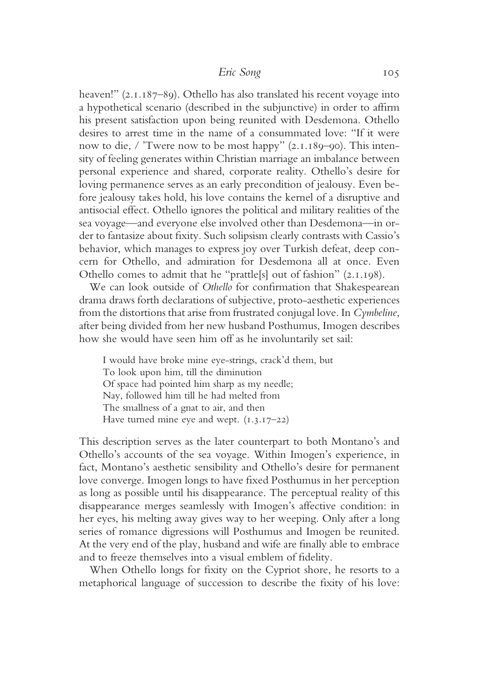heaven!" (2.1.187–89). Othello has also translated his recent voyage into a hypothetical scenario (described in the subjunctive) in order to affirm his present satisfaction upon being reunited with Desdemona. Othello desires to arrest time in the name of a consummated love: "If it were now to die, / 'Twere now to be most happy" (2.1.189–90). This intensity of feeling generates within Christian marriage an imbalance between personal experience and shared, corporate reality. Othello's desire for loving permanence serves as an early precondition of jealousy. Even before jealousy takes hold, his love contains the kernel of a disruptive and antisocial effect. Othello ignores the political and military realities of the sea voyage—and everyone else involved other than Desdemona—in order to fantasize about fixity. Such solipsism clearly contrasts with Cassio's behavior, which manages to express joy over Turkish defeat, deep concern for Othello, and admiration for Desdemona all at once. Even Othello comes to admit that he "prattle[s] out of fashion" (2.1.198).

We can look outside of Othello for confirmation that Shakespearean drama draws forth declarations of subjective, proto-aesthetic experiences from the distortions that arise from frustrated conjugal love. In Cymbeline, after being divided from her new husband Posthumus, Imogen describes how she would have seen him off as he involuntarily set sail:

I would have broke mine eye-strings, crack'd them, but To look upon him, till the diminution Of space had pointed him sharp as my needle; Nay, followed him till he had melted from The smallness of a gnat to air, and then Have turned mine eye and wept.  $(1.3.17-22)$ 

This description serves as the later counterpart to both Montano's and Othello's accounts of the sea voyage. Within Imogen's experience, in fact, Montano's aesthetic sensibility and Othello's desire for permanent love converge. Imogen longs to have fixed Posthumus in her perception as long as possible until his disappearance. The perceptual reality of this disappearance merges seamlessly with Imogen's affective condition: in her eyes, his melting away gives way to her weeping. Only after a long series of romance digressions will Posthumus and Imogen be reunited. At the very end of the play, husband and wife are finally able to embrace and to freeze themselves into a visual emblem of fidelity.

When Othello longs for fixity on the Cypriot shore, he resorts to a metaphorical language of succession to describe the fixity of his love: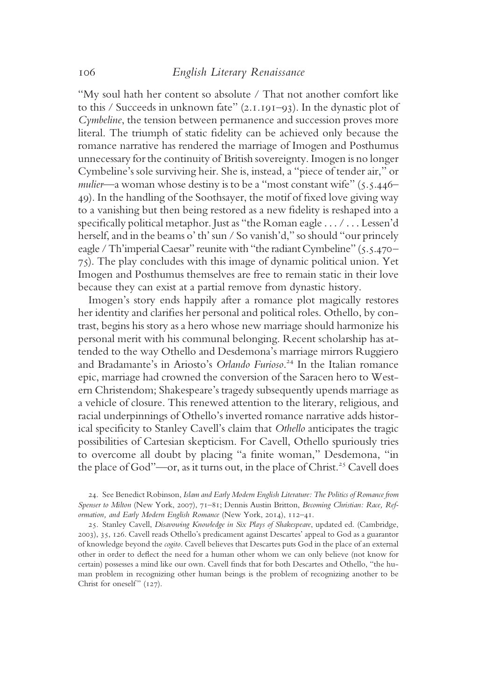"My soul hath her content so absolute / That not another comfort like to this / Succeeds in unknown fate" (2.1.191–93). In the dynastic plot of Cymbeline, the tension between permanence and succession proves more literal. The triumph of static fidelity can be achieved only because the romance narrative has rendered the marriage of Imogen and Posthumus unnecessary for the continuity of British sovereignty. Imogen is no longer Cymbeline's sole surviving heir. She is, instead, a "piece of tender air," or mulier—a woman whose destiny is to be a "most constant wife"  $(5.5.446-$ 49). In the handling of the Soothsayer, the motif of fixed love giving way to a vanishing but then being restored as a new fidelity is reshaped into a specifically political metaphor. Just as "the Roman eagle ... / ... Lessen'd herself, and in the beams o' th' sun / So vanish'd," so should "our princely eagle / Th'imperial Caesar'' reunite with "the radiant Cymbeline" (5.5.470– 75). The play concludes with this image of dynamic political union. Yet Imogen and Posthumus themselves are free to remain static in their love because they can exist at a partial remove from dynastic history.

Imogen's story ends happily after a romance plot magically restores her identity and clarifies her personal and political roles. Othello, by contrast, begins his story as a hero whose new marriage should harmonize his personal merit with his communal belonging. Recent scholarship has attended to the way Othello and Desdemona's marriage mirrors Ruggiero and Bradamante's in Ariosto's Orlando Furioso. <sup>24</sup> In the Italian romance epic, marriage had crowned the conversion of the Saracen hero to Western Christendom; Shakespeare's tragedy subsequently upends marriage as a vehicle of closure. This renewed attention to the literary, religious, and racial underpinnings of Othello's inverted romance narrative adds historical specificity to Stanley Cavell's claim that Othello anticipates the tragic possibilities of Cartesian skepticism. For Cavell, Othello spuriously tries to overcome all doubt by placing "a finite woman," Desdemona, "in the place of God"—or, as it turns out, in the place of Christ.<sup>25</sup> Cavell does

24. See Benedict Robinson, Islam and Early Modern English Literature: The Politics of Romance from Spenser to Milton (New York, 2007), 71-81; Dennis Austin Britton, Becoming Christian: Race, Reformation, and Early Modern English Romance (New York, 2014), 112–41.

25. Stanley Cavell, Disavowing Knowledge in Six Plays of Shakespeare, updated ed. (Cambridge, 2003), 35, 126. Cavell reads Othello's predicament against Descartes' appeal to God as a guarantor of knowledge beyond the cogito. Cavell believes that Descartes puts God in the place of an external other in order to deflect the need for a human other whom we can only believe (not know for certain) possesses a mind like our own. Cavell finds that for both Descartes and Othello, "the human problem in recognizing other human beings is the problem of recognizing another to be Christ for oneself" (127).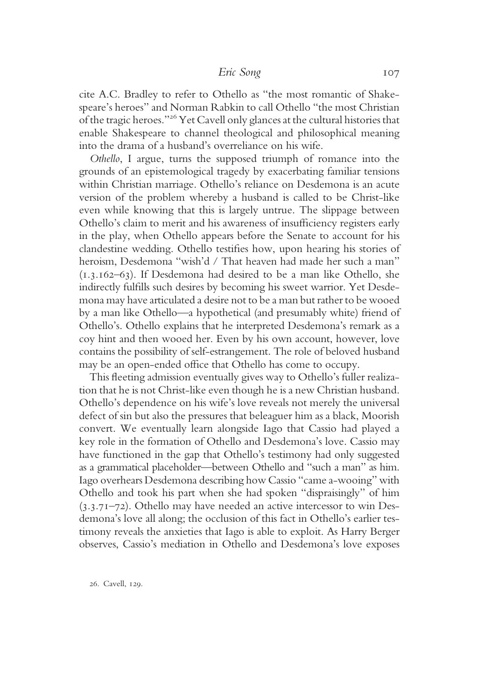cite A.C. Bradley to refer to Othello as "the most romantic of Shakespeare's heroes" and Norman Rabkin to call Othello "the most Christian of the tragic heroes."<sup>26</sup> Yet Cavell only glances at the cultural histories that enable Shakespeare to channel theological and philosophical meaning into the drama of a husband's overreliance on his wife.

Othello, I argue, turns the supposed triumph of romance into the grounds of an epistemological tragedy by exacerbating familiar tensions within Christian marriage. Othello's reliance on Desdemona is an acute version of the problem whereby a husband is called to be Christ-like even while knowing that this is largely untrue. The slippage between Othello's claim to merit and his awareness of insufficiency registers early in the play, when Othello appears before the Senate to account for his clandestine wedding. Othello testifies how, upon hearing his stories of heroism, Desdemona "wish'd / That heaven had made her such a man"  $(1.3.162-63)$ . If Desdemona had desired to be a man like Othello, she indirectly fulfills such desires by becoming his sweet warrior. Yet Desdemona may have articulated a desire not to be a man but rather to be wooed by a man like Othello—a hypothetical (and presumably white) friend of Othello's. Othello explains that he interpreted Desdemona's remark as a coy hint and then wooed her. Even by his own account, however, love contains the possibility of self-estrangement. The role of beloved husband may be an open-ended office that Othello has come to occupy.

This fleeting admission eventually gives way to Othello's fuller realization that he is not Christ-like even though he is a new Christian husband. Othello's dependence on his wife's love reveals not merely the universal defect of sin but also the pressures that beleaguer him as a black, Moorish convert. We eventually learn alongside Iago that Cassio had played a key role in the formation of Othello and Desdemona's love. Cassio may have functioned in the gap that Othello's testimony had only suggested as a grammatical placeholder—between Othello and "such a man" as him. Iago overhears Desdemona describing how Cassio "came a-wooing" with Othello and took his part when she had spoken "dispraisingly" of him (3.3.71–72). Othello may have needed an active intercessor to win Desdemona's love all along; the occlusion of this fact in Othello's earlier testimony reveals the anxieties that Iago is able to exploit. As Harry Berger observes, Cassio's mediation in Othello and Desdemona's love exposes

26. Cavell, 129.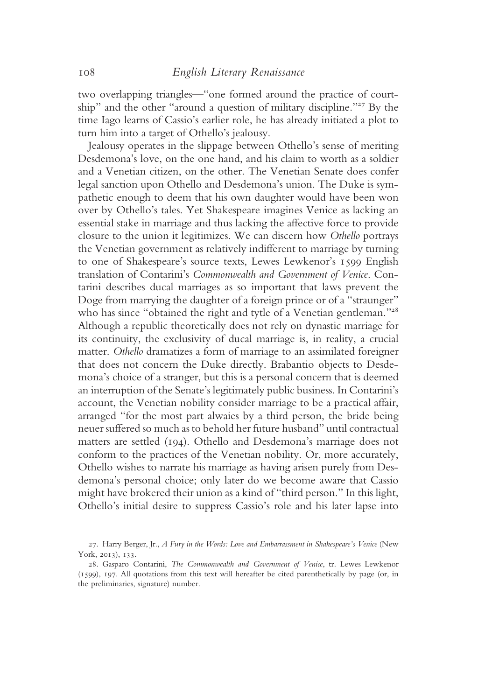two overlapping triangles—"one formed around the practice of courtship" and the other "around a question of military discipline."<sup>27</sup> By the time Iago learns of Cassio's earlier role, he has already initiated a plot to turn him into a target of Othello's jealousy.

Jealousy operates in the slippage between Othello's sense of meriting Desdemona's love, on the one hand, and his claim to worth as a soldier and a Venetian citizen, on the other. The Venetian Senate does confer legal sanction upon Othello and Desdemona's union. The Duke is sympathetic enough to deem that his own daughter would have been won over by Othello's tales. Yet Shakespeare imagines Venice as lacking an essential stake in marriage and thus lacking the affective force to provide closure to the union it legitimizes. We can discern how Othello portrays the Venetian government as relatively indifferent to marriage by turning to one of Shakespeare's source texts, Lewes Lewkenor's 1599 English translation of Contarini's Commonwealth and Government of Venice. Contarini describes ducal marriages as so important that laws prevent the Doge from marrying the daughter of a foreign prince or of a "straunger" who has since "obtained the right and tytle of a Venetian gentleman."<sup>28</sup> Although a republic theoretically does not rely on dynastic marriage for its continuity, the exclusivity of ducal marriage is, in reality, a crucial matter. Othello dramatizes a form of marriage to an assimilated foreigner that does not concern the Duke directly. Brabantio objects to Desdemona's choice of a stranger, but this is a personal concern that is deemed an interruption of the Senate's legitimately public business. In Contarini's account, the Venetian nobility consider marriage to be a practical affair, arranged "for the most part alwaies by a third person, the bride being neuer suffered so much as to behold her future husband" until contractual matters are settled (194). Othello and Desdemona's marriage does not conform to the practices of the Venetian nobility. Or, more accurately, Othello wishes to narrate his marriage as having arisen purely from Desdemona's personal choice; only later do we become aware that Cassio might have brokered their union as a kind of "third person." In this light, Othello's initial desire to suppress Cassio's role and his later lapse into

<sup>27.</sup> Harry Berger, Jr., A Fury in the Words: Love and Embarrassment in Shakespeare's Venice (New York, 2013), 133.

<sup>28</sup>. Gasparo Contarini, The Commonwealth and Government of Venice, tr. Lewes Lewkenor (1599), 197. All quotations from this text will hereafter be cited parenthetically by page (or, in the preliminaries, signature) number.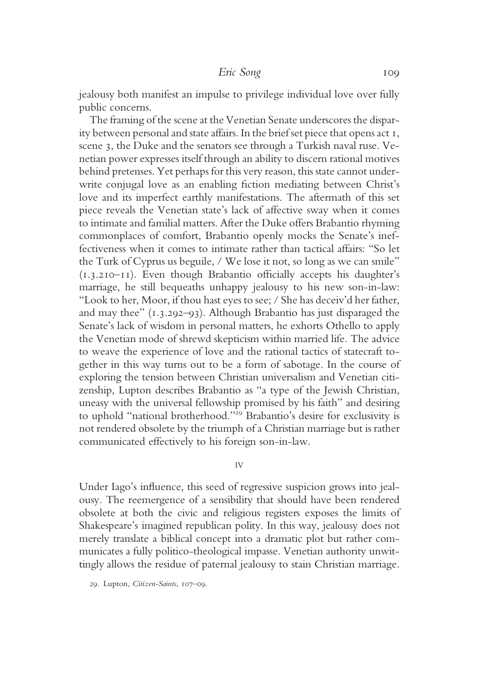jealousy both manifest an impulse to privilege individual love over fully public concerns.

The framing of the scene at the Venetian Senate underscores the disparity between personal and state affairs. In the brief set piece that opens act 1, scene 3, the Duke and the senators see through a Turkish naval ruse. Venetian power expresses itself through an ability to discern rational motives behind pretenses. Yet perhaps for this very reason, this state cannot underwrite conjugal love as an enabling fiction mediating between Christ's love and its imperfect earthly manifestations. The aftermath of this set piece reveals the Venetian state's lack of affective sway when it comes to intimate and familial matters. After the Duke offers Brabantio rhyming commonplaces of comfort, Brabantio openly mocks the Senate's ineffectiveness when it comes to intimate rather than tactical affairs: "So let the Turk of Cyprus us beguile, / We lose it not, so long as we can smile" (1.3.210–11). Even though Brabantio officially accepts his daughter's marriage, he still bequeaths unhappy jealousy to his new son-in-law: "Look to her, Moor, if thou hast eyes to see; / She has deceiv'd her father, and may thee" (1.3.292–93). Although Brabantio has just disparaged the Senate's lack of wisdom in personal matters, he exhorts Othello to apply the Venetian mode of shrewd skepticism within married life. The advice to weave the experience of love and the rational tactics of statecraft together in this way turns out to be a form of sabotage. In the course of exploring the tension between Christian universalism and Venetian citizenship, Lupton describes Brabantio as "a type of the Jewish Christian, uneasy with the universal fellowship promised by his faith" and desiring to uphold "national brotherhood."<sup>29</sup> Brabantio's desire for exclusivity is not rendered obsolete by the triumph of a Christian marriage but is rather communicated effectively to his foreign son-in-law.

IV

Under Iago's influence, this seed of regressive suspicion grows into jealousy. The reemergence of a sensibility that should have been rendered obsolete at both the civic and religious registers exposes the limits of Shakespeare's imagined republican polity. In this way, jealousy does not merely translate a biblical concept into a dramatic plot but rather communicates a fully politico-theological impasse. Venetian authority unwittingly allows the residue of paternal jealousy to stain Christian marriage.

<sup>29</sup>. Lupton, Citizen-Saints, 107–09.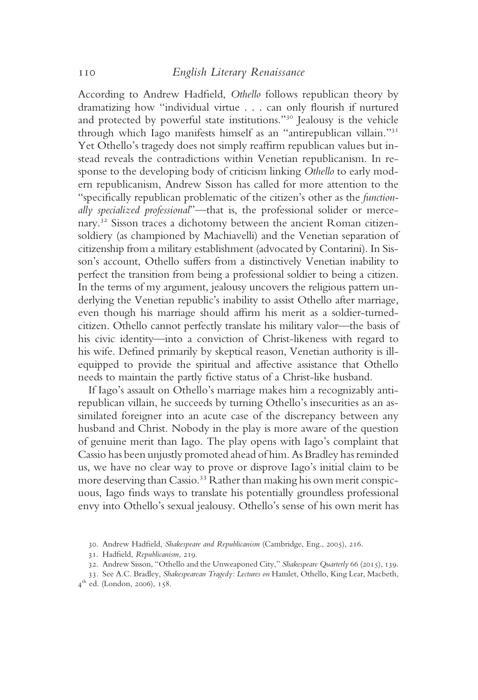According to Andrew Hadfield, Othello follows republican theory by dramatizing how "individual virtue ... can only flourish if nurtured and protected by powerful state institutions."<sup>30</sup> Jealousy is the vehicle through which Iago manifests himself as an "antirepublican villain."<sup>31</sup> Yet Othello's tragedy does not simply reaffirm republican values but instead reveals the contradictions within Venetian republicanism. In response to the developing body of criticism linking Othello to early modern republicanism, Andrew Sisson has called for more attention to the "specifically republican problematic of the citizen's other as the functionally specialized professional"—that is, the professional solider or mercenary.<sup>32</sup> Sisson traces a dichotomy between the ancient Roman citizensoldiery (as championed by Machiavelli) and the Venetian separation of citizenship from a military establishment (advocated by Contarini). In Sisson's account, Othello suffers from a distinctively Venetian inability to perfect the transition from being a professional soldier to being a citizen. In the terms of my argument, jealousy uncovers the religious pattern underlying the Venetian republic's inability to assist Othello after marriage, even though his marriage should affirm his merit as a soldier-turnedcitizen. Othello cannot perfectly translate his military valor—the basis of his civic identity—into a conviction of Christ-likeness with regard to his wife. Defined primarily by skeptical reason, Venetian authority is illequipped to provide the spiritual and affective assistance that Othello needs to maintain the partly fictive status of a Christ-like husband.

If Iago's assault on Othello's marriage makes him a recognizably antirepublican villain, he succeeds by turning Othello's insecurities as an assimilated foreigner into an acute case of the discrepancy between any husband and Christ. Nobody in the play is more aware of the question of genuine merit than Iago. The play opens with Iago's complaint that Cassio has been unjustly promoted ahead of him. As Bradley has reminded us, we have no clear way to prove or disprove Iago's initial claim to be more deserving than Cassio.<sup>33</sup> Rather than making his own merit conspicuous, Iago finds ways to translate his potentially groundless professional envy into Othello's sexual jealousy. Othello's sense of his own merit has

<sup>30</sup>. Andrew Hadfield, Shakespeare and Republicanism (Cambridge, Eng., 2005), 216.

<sup>31</sup>. Hadfield, Republicanism, 219.

<sup>32</sup>. Andrew Sisson, "Othello and the Unweaponed City," Shakespeare Quarterly 66 (2015), 139.

<sup>33</sup>. See A.C. Bradley, Shakespearean Tragedy: Lectures on Hamlet, Othello, King Lear, Macbeth,

<sup>4</sup>th ed. (London, 2006), 158.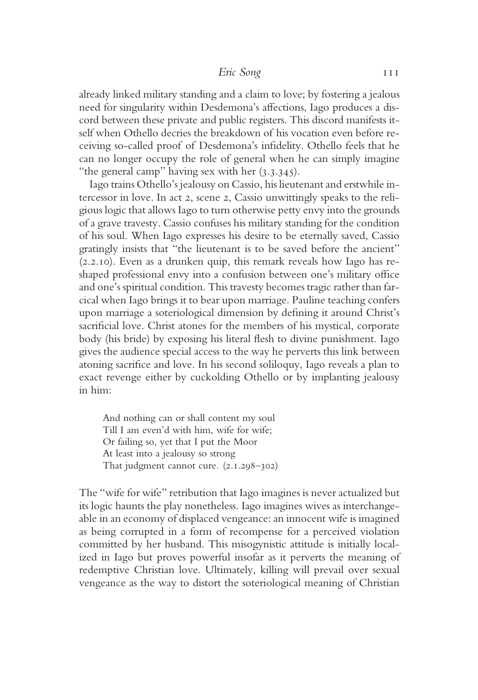already linked military standing and a claim to love; by fostering a jealous need for singularity within Desdemona's affections, Iago produces a discord between these private and public registers. This discord manifests itself when Othello decries the breakdown of his vocation even before receiving so-called proof of Desdemona's infidelity. Othello feels that he can no longer occupy the role of general when he can simply imagine "the general camp" having sex with her (3.3.345).

Iago trains Othello's jealousy on Cassio, his lieutenant and erstwhile intercessor in love. In act 2, scene 2, Cassio unwittingly speaks to the religious logic that allows Iago to turn otherwise petty envy into the grounds of a grave travesty. Cassio confuses his military standing for the condition of his soul. When Iago expresses his desire to be eternally saved, Cassio gratingly insists that "the lieutenant is to be saved before the ancient" (2.2.10). Even as a drunken quip, this remark reveals how Iago has reshaped professional envy into a confusion between one's military office and one's spiritual condition. This travesty becomes tragic rather than farcical when Iago brings it to bear upon marriage. Pauline teaching confers upon marriage a soteriological dimension by defining it around Christ's sacrificial love. Christ atones for the members of his mystical, corporate body (his bride) by exposing his literal flesh to divine punishment. Iago gives the audience special access to the way he perverts this link between atoning sacrifice and love. In his second soliloquy, Iago reveals a plan to exact revenge either by cuckolding Othello or by implanting jealousy in him:

And nothing can or shall content my soul Till I am even'd with him, wife for wife; Or failing so, yet that I put the Moor At least into a jealousy so strong That judgment cannot cure. (2.1.298–302)

The "wife for wife" retribution that Iago imagines is never actualized but its logic haunts the play nonetheless. Iago imagines wives as interchangeable in an economy of displaced vengeance: an innocent wife is imagined as being corrupted in a form of recompense for a perceived violation committed by her husband. This misogynistic attitude is initially localized in Iago but proves powerful insofar as it perverts the meaning of redemptive Christian love. Ultimately, killing will prevail over sexual vengeance as the way to distort the soteriological meaning of Christian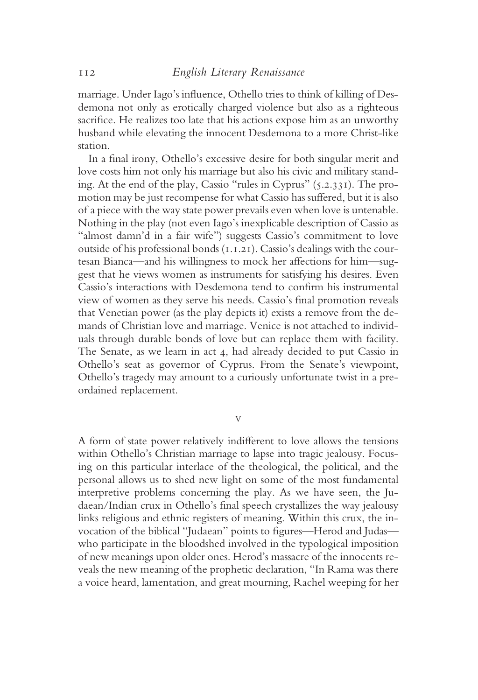marriage. Under Iago's influence, Othello tries to think of killing of Desdemona not only as erotically charged violence but also as a righteous sacrifice. He realizes too late that his actions expose him as an unworthy husband while elevating the innocent Desdemona to a more Christ-like station.

In a final irony, Othello's excessive desire for both singular merit and love costs him not only his marriage but also his civic and military standing. At the end of the play, Cassio "rules in Cyprus" (5.2.331). The promotion may be just recompense for what Cassio has suffered, but it is also of a piece with the way state power prevails even when love is untenable. Nothing in the play (not even Iago's inexplicable description of Cassio as "almost damn'd in a fair wife") suggests Cassio's commitment to love outside of his professional bonds (1.1.21). Cassio's dealings with the courtesan Bianca—and his willingness to mock her affections for him—suggest that he views women as instruments for satisfying his desires. Even Cassio's interactions with Desdemona tend to confirm his instrumental view of women as they serve his needs. Cassio's final promotion reveals that Venetian power (as the play depicts it) exists a remove from the demands of Christian love and marriage. Venice is not attached to individuals through durable bonds of love but can replace them with facility. The Senate, as we learn in act 4, had already decided to put Cassio in Othello's seat as governor of Cyprus. From the Senate's viewpoint, Othello's tragedy may amount to a curiously unfortunate twist in a preordained replacement.

V

A form of state power relatively indifferent to love allows the tensions within Othello's Christian marriage to lapse into tragic jealousy. Focusing on this particular interlace of the theological, the political, and the personal allows us to shed new light on some of the most fundamental interpretive problems concerning the play. As we have seen, the Judaean/Indian crux in Othello's final speech crystallizes the way jealousy links religious and ethnic registers of meaning. Within this crux, the invocation of the biblical "Judaean" points to figures—Herod and Judas who participate in the bloodshed involved in the typological imposition of new meanings upon older ones. Herod's massacre of the innocents reveals the new meaning of the prophetic declaration, "In Rama was there a voice heard, lamentation, and great mourning, Rachel weeping for her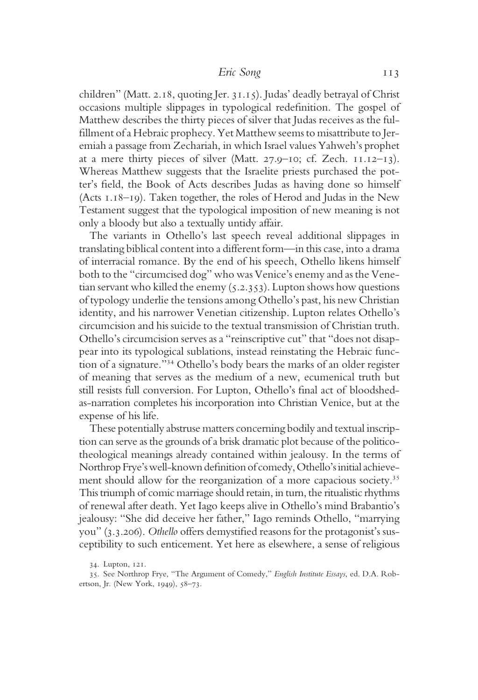children" (Matt. 2.18, quoting Jer. 31.15). Judas' deadly betrayal of Christ occasions multiple slippages in typological redefinition. The gospel of Matthew describes the thirty pieces of silver that Judas receives as the fulfillment of a Hebraic prophecy. Yet Matthew seems to misattribute to Jeremiah a passage from Zechariah, in which Israel values Yahweh's prophet at a mere thirty pieces of silver (Matt. 27.9–10; cf. Zech. 11.12–13). Whereas Matthew suggests that the Israelite priests purchased the potter's field, the Book of Acts describes Judas as having done so himself (Acts 1.18–19). Taken together, the roles of Herod and Judas in the New Testament suggest that the typological imposition of new meaning is not only a bloody but also a textually untidy affair.

The variants in Othello's last speech reveal additional slippages in translating biblical content into a different form—in this case, into a drama of interracial romance. By the end of his speech, Othello likens himself both to the "circumcised dog" who was Venice's enemy and as the Venetian servant who killed the enemy (5.2.353). Lupton shows how questions of typology underlie the tensions among Othello's past, his new Christian identity, and his narrower Venetian citizenship. Lupton relates Othello's circumcision and his suicide to the textual transmission of Christian truth. Othello's circumcision serves as a "reinscriptive cut" that "does not disappear into its typological sublations, instead reinstating the Hebraic function of a signature."<sup>34</sup> Othello's body bears the marks of an older register of meaning that serves as the medium of a new, ecumenical truth but still resists full conversion. For Lupton, Othello's final act of bloodshedas-narration completes his incorporation into Christian Venice, but at the expense of his life.

These potentially abstruse matters concerning bodily and textual inscription can serve as the grounds of a brisk dramatic plot because of the politicotheological meanings already contained within jealousy. In the terms of Northrop Frye's well-known definition of comedy,Othello's initial achievement should allow for the reorganization of a more capacious society.<sup>35</sup> This triumph of comic marriage should retain, in turn, the ritualistic rhythms of renewal after death. Yet Iago keeps alive in Othello's mind Brabantio's jealousy: "She did deceive her father," Iago reminds Othello, "marrying you" (3.3.206). Othello offers demystified reasons for the protagonist's susceptibility to such enticement. Yet here as elsewhere, a sense of religious

<sup>34</sup>. Lupton, 121.

<sup>35.</sup> See Northrop Frye, "The Argument of Comedy," English Institute Essays, ed. D.A. Robertson, Jr. (New York, 1949), 58–73.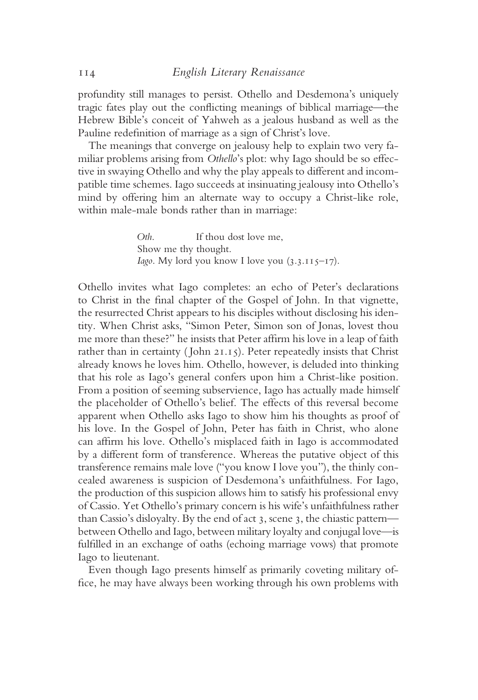profundity still manages to persist. Othello and Desdemona's uniquely tragic fates play out the conflicting meanings of biblical marriage—the Hebrew Bible's conceit of Yahweh as a jealous husband as well as the Pauline redefinition of marriage as a sign of Christ's love.

The meanings that converge on jealousy help to explain two very familiar problems arising from Othello's plot: why Iago should be so effective in swaying Othello and why the play appeals to different and incompatible time schemes. Iago succeeds at insinuating jealousy into Othello's mind by offering him an alternate way to occupy a Christ-like role, within male-male bonds rather than in marriage:

> Oth. If thou dost love me, Show me thy thought. *Iago*. My lord you know I love you  $(3.3.115-17)$ .

Othello invites what Iago completes: an echo of Peter's declarations to Christ in the final chapter of the Gospel of John. In that vignette, the resurrected Christ appears to his disciples without disclosing his identity. When Christ asks, "Simon Peter, Simon son of Jonas, lovest thou me more than these?" he insists that Peter affirm his love in a leap of faith rather than in certainty (John 21.15). Peter repeatedly insists that Christ already knows he loves him. Othello, however, is deluded into thinking that his role as Iago's general confers upon him a Christ-like position. From a position of seeming subservience, Iago has actually made himself the placeholder of Othello's belief. The effects of this reversal become apparent when Othello asks Iago to show him his thoughts as proof of his love. In the Gospel of John, Peter has faith in Christ, who alone can affirm his love. Othello's misplaced faith in Iago is accommodated by a different form of transference. Whereas the putative object of this transference remains male love ("you know I love you"), the thinly concealed awareness is suspicion of Desdemona's unfaithfulness. For Iago, the production of this suspicion allows him to satisfy his professional envy of Cassio. Yet Othello's primary concern is his wife's unfaithfulness rather than Cassio's disloyalty. By the end of act 3, scene 3, the chiastic pattern between Othello and Iago, between military loyalty and conjugal love—is fulfilled in an exchange of oaths (echoing marriage vows) that promote Iago to lieutenant.

Even though Iago presents himself as primarily coveting military office, he may have always been working through his own problems with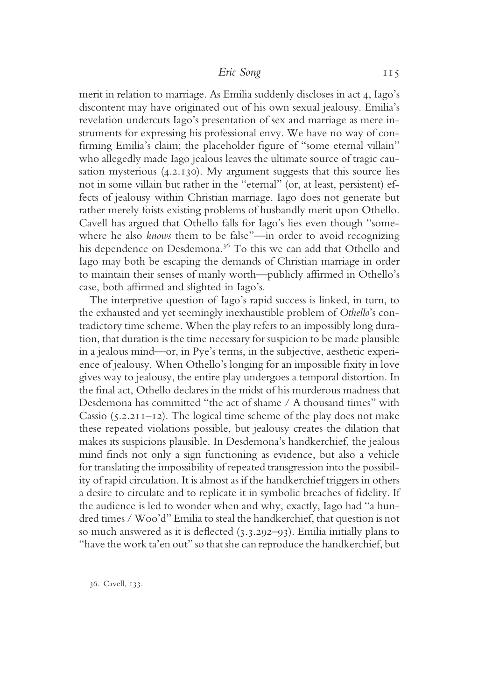merit in relation to marriage. As Emilia suddenly discloses in act 4, Iago's discontent may have originated out of his own sexual jealousy. Emilia's revelation undercuts Iago's presentation of sex and marriage as mere instruments for expressing his professional envy. We have no way of confirming Emilia's claim; the placeholder figure of "some eternal villain" who allegedly made Iago jealous leaves the ultimate source of tragic causation mysterious (4.2.130). My argument suggests that this source lies not in some villain but rather in the "eternal" (or, at least, persistent) effects of jealousy within Christian marriage. Iago does not generate but rather merely foists existing problems of husbandly merit upon Othello. Cavell has argued that Othello falls for Iago's lies even though "somewhere he also *knows* them to be false"—in order to avoid recognizing his dependence on Desdemona.<sup>36</sup> To this we can add that Othello and Iago may both be escaping the demands of Christian marriage in order to maintain their senses of manly worth—publicly affirmed in Othello's case, both affirmed and slighted in Iago's.

The interpretive question of Iago's rapid success is linked, in turn, to the exhausted and yet seemingly inexhaustible problem of Othello's contradictory time scheme. When the play refers to an impossibly long duration, that duration is the time necessary for suspicion to be made plausible in a jealous mind—or, in Pye's terms, in the subjective, aesthetic experience of jealousy. When Othello's longing for an impossible fixity in love gives way to jealousy, the entire play undergoes a temporal distortion. In the final act, Othello declares in the midst of his murderous madness that Desdemona has committed "the act of shame / A thousand times" with Cassio  $(5.2.211 - 12)$ . The logical time scheme of the play does not make these repeated violations possible, but jealousy creates the dilation that makes its suspicions plausible. In Desdemona's handkerchief, the jealous mind finds not only a sign functioning as evidence, but also a vehicle for translating the impossibility of repeated transgression into the possibility of rapid circulation. It is almost as if the handkerchief triggers in others a desire to circulate and to replicate it in symbolic breaches of fidelity. If the audience is led to wonder when and why, exactly, Iago had "a hundred times / Woo'd" Emilia to steal the handkerchief, that question is not so much answered as it is deflected (3.3.292–93). Emilia initially plans to "have the work ta'en out" so that she can reproduce the handkerchief, but

36. Cavell, 133.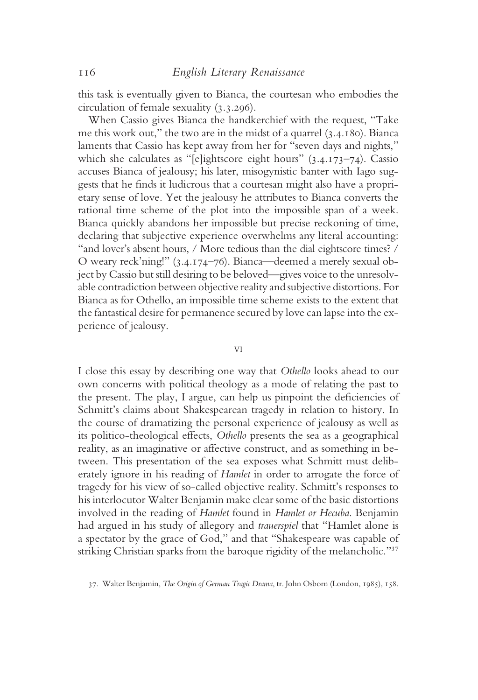this task is eventually given to Bianca, the courtesan who embodies the circulation of female sexuality (3.3.296).

When Cassio gives Bianca the handkerchief with the request, "Take me this work out," the two are in the midst of a quarrel (3.4.180). Bianca laments that Cassio has kept away from her for "seven days and nights," which she calculates as "[e]ightscore eight hours" (3.4.173–74). Cassio accuses Bianca of jealousy; his later, misogynistic banter with Iago suggests that he finds it ludicrous that a courtesan might also have a proprietary sense of love. Yet the jealousy he attributes to Bianca converts the rational time scheme of the plot into the impossible span of a week. Bianca quickly abandons her impossible but precise reckoning of time, declaring that subjective experience overwhelms any literal accounting: "and lover's absent hours, / More tedious than the dial eightscore times? / O weary reck'ning!" (3.4.174–76). Bianca—deemed a merely sexual object by Cassio but still desiring to be beloved—gives voice to the unresolvable contradiction between objective reality and subjective distortions. For Bianca as for Othello, an impossible time scheme exists to the extent that the fantastical desire for permanence secured by love can lapse into the experience of jealousy.

#### VI

I close this essay by describing one way that Othello looks ahead to our own concerns with political theology as a mode of relating the past to the present. The play, I argue, can help us pinpoint the deficiencies of Schmitt's claims about Shakespearean tragedy in relation to history. In the course of dramatizing the personal experience of jealousy as well as its politico-theological effects, Othello presents the sea as a geographical reality, as an imaginative or affective construct, and as something in between. This presentation of the sea exposes what Schmitt must deliberately ignore in his reading of Hamlet in order to arrogate the force of tragedy for his view of so-called objective reality. Schmitt's responses to his interlocutor Walter Benjamin make clear some of the basic distortions involved in the reading of Hamlet found in Hamlet or Hecuba. Benjamin had argued in his study of allegory and trauerspiel that "Hamlet alone is a spectator by the grace of God," and that "Shakespeare was capable of striking Christian sparks from the baroque rigidity of the melancholic."<sup>37</sup>

37. Walter Benjamin, The Origin of German Tragic Drama, tr. John Osborn (London, 1985), 158.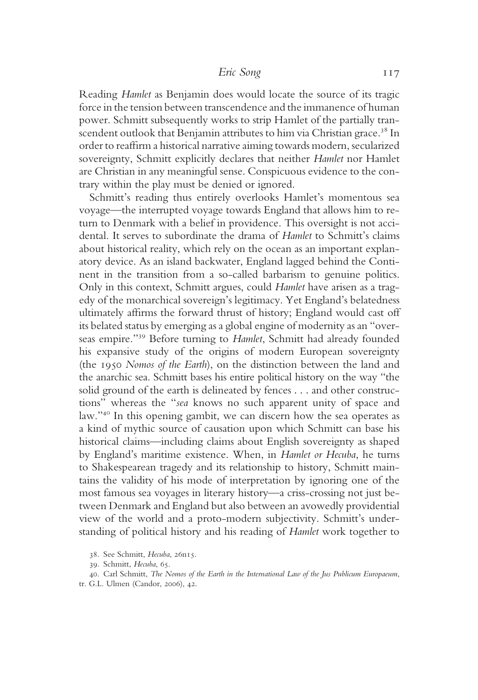Reading Hamlet as Benjamin does would locate the source of its tragic force in the tension between transcendence and the immanence of human power. Schmitt subsequently works to strip Hamlet of the partially transcendent outlook that Benjamin attributes to him via Christian grace.<sup>38</sup> In order to reaffirm a historical narrative aiming towards modern, secularized sovereignty, Schmitt explicitly declares that neither Hamlet nor Hamlet are Christian in any meaningful sense. Conspicuous evidence to the contrary within the play must be denied or ignored.

Schmitt's reading thus entirely overlooks Hamlet's momentous sea voyage—the interrupted voyage towards England that allows him to return to Denmark with a belief in providence. This oversight is not accidental. It serves to subordinate the drama of Hamlet to Schmitt's claims about historical reality, which rely on the ocean as an important explanatory device. As an island backwater, England lagged behind the Continent in the transition from a so-called barbarism to genuine politics. Only in this context, Schmitt argues, could Hamlet have arisen as a tragedy of the monarchical sovereign's legitimacy. Yet England's belatedness ultimately affirms the forward thrust of history; England would cast off its belated status by emerging as a global engine of modernity as an "overseas empire."<sup>39</sup> Before turning to Hamlet, Schmitt had already founded his expansive study of the origins of modern European sovereignty (the 1950 Nomos of the Earth), on the distinction between the land and the anarchic sea. Schmitt bases his entire political history on the way "the solid ground of the earth is delineated by fences ... and other constructions" whereas the "sea knows no such apparent unity of space and law."<sup>40</sup> In this opening gambit, we can discern how the sea operates as a kind of mythic source of causation upon which Schmitt can base his historical claims—including claims about English sovereignty as shaped by England's maritime existence. When, in Hamlet or Hecuba, he turns to Shakespearean tragedy and its relationship to history, Schmitt maintains the validity of his mode of interpretation by ignoring one of the most famous sea voyages in literary history—a criss-crossing not just between Denmark and England but also between an avowedly providential view of the world and a proto-modern subjectivity. Schmitt's understanding of political history and his reading of Hamlet work together to

<sup>38</sup>. See Schmitt, Hecuba, 26n15.

<sup>39</sup>. Schmitt, Hecuba, 65.

<sup>40</sup>. Carl Schmitt, The Nomos of the Earth in the International Law of the Jus Publicum Europaeum, tr. G.L. Ulmen (Candor, 2006), 42.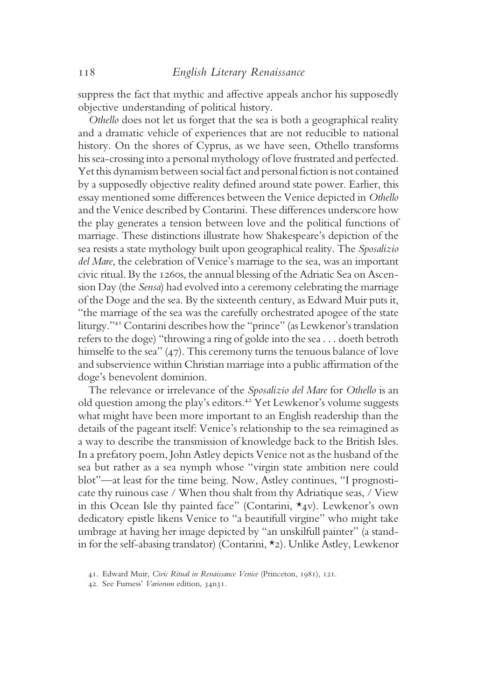suppress the fact that mythic and affective appeals anchor his supposedly objective understanding of political history.

Othello does not let us forget that the sea is both a geographical reality and a dramatic vehicle of experiences that are not reducible to national history. On the shores of Cyprus, as we have seen, Othello transforms his sea-crossing into a personal mythology of love frustrated and perfected. Yet this dynamism between social fact and personal fiction is not contained by a supposedly objective reality defined around state power. Earlier, this essay mentioned some differences between the Venice depicted in Othello and the Venice described by Contarini. These differences underscore how the play generates a tension between love and the political functions of marriage. These distinctions illustrate how Shakespeare's depiction of the sea resists a state mythology built upon geographical reality. The Sposalizio del Mare, the celebration of Venice's marriage to the sea, was an important civic ritual. By the 1260s, the annual blessing of the Adriatic Sea on Ascension Day (the Sensa) had evolved into a ceremony celebrating the marriage of the Doge and the sea. By the sixteenth century, as Edward Muir puts it, "the marriage of the sea was the carefully orchestrated apogee of the state liturgy."<sup>41</sup> Contarini describes how the "prince" (as Lewkenor's translation refers to the doge) "throwing a ring of golde into the sea ... doeth betroth himselfe to the sea" (47). This ceremony turns the tenuous balance of love and subservience within Christian marriage into a public affirmation of the doge's benevolent dominion.

The relevance or irrelevance of the Sposalizio del Mare for Othello is an old question among the play's editors.<sup>42</sup> Yet Lewkenor's volume suggests what might have been more important to an English readership than the details of the pageant itself: Venice's relationship to the sea reimagined as a way to describe the transmission of knowledge back to the British Isles. In a prefatory poem, John Astley depicts Venice not as the husband of the sea but rather as a sea nymph whose "virgin state ambition nere could blot"—at least for the time being. Now, Astley continues, "I prognosticate thy ruinous case / When thou shalt from thy Adriatique seas, / View in this Ocean Isle thy painted face" (Contarini,  $\star_{4}$ v). Lewkenor's own dedicatory epistle likens Venice to "a beautifull virgine" who might take umbrage at having her image depicted by "an unskilfull painter" (a standin for the self-abasing translator) (Contarini, \*2). Unlike Astley, Lewkenor

42. See Furness' Variorum edition, 34n31.

<sup>41</sup>. Edward Muir, Civic Ritual in Renaissance Venice (Princeton, 1981), 121.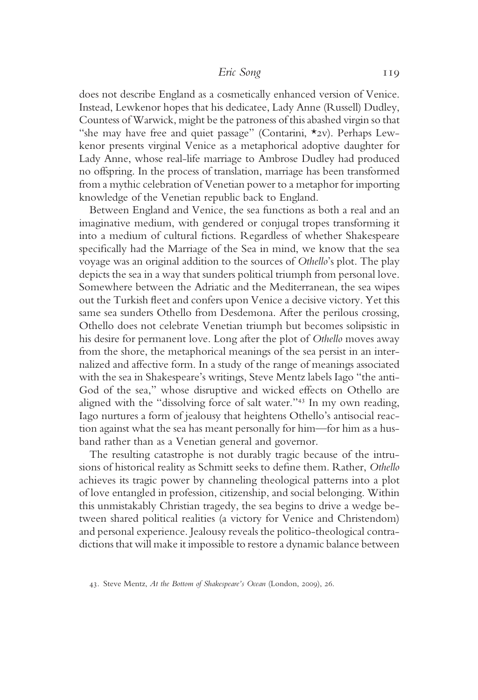does not describe England as a cosmetically enhanced version of Venice. Instead, Lewkenor hopes that his dedicatee, Lady Anne (Russell) Dudley, Countess of Warwick, might be the patroness of this abashed virgin so that "she may have free and quiet passage" (Contarini,  $\star$ 2v). Perhaps Lewkenor presents virginal Venice as a metaphorical adoptive daughter for Lady Anne, whose real-life marriage to Ambrose Dudley had produced no offspring. In the process of translation, marriage has been transformed from a mythic celebration of Venetian power to a metaphor for importing knowledge of the Venetian republic back to England.

Between England and Venice, the sea functions as both a real and an imaginative medium, with gendered or conjugal tropes transforming it into a medium of cultural fictions. Regardless of whether Shakespeare specifically had the Marriage of the Sea in mind, we know that the sea voyage was an original addition to the sources of Othello's plot. The play depicts the sea in a way that sunders political triumph from personal love. Somewhere between the Adriatic and the Mediterranean, the sea wipes out the Turkish fleet and confers upon Venice a decisive victory. Yet this same sea sunders Othello from Desdemona. After the perilous crossing, Othello does not celebrate Venetian triumph but becomes solipsistic in his desire for permanent love. Long after the plot of Othello moves away from the shore, the metaphorical meanings of the sea persist in an internalized and affective form. In a study of the range of meanings associated with the sea in Shakespeare's writings, Steve Mentz labels Iago "the anti-God of the sea," whose disruptive and wicked effects on Othello are aligned with the "dissolving force of salt water."<sup>43</sup> In my own reading, Iago nurtures a form of jealousy that heightens Othello's antisocial reaction against what the sea has meant personally for him—for him as a husband rather than as a Venetian general and governor.

The resulting catastrophe is not durably tragic because of the intrusions of historical reality as Schmitt seeks to define them. Rather, Othello achieves its tragic power by channeling theological patterns into a plot of love entangled in profession, citizenship, and social belonging. Within this unmistakably Christian tragedy, the sea begins to drive a wedge between shared political realities (a victory for Venice and Christendom) and personal experience. Jealousy reveals the politico-theological contradictions that will make it impossible to restore a dynamic balance between

<sup>43</sup>. Steve Mentz, At the Bottom of Shakespeare's Ocean (London, 2009), 26.